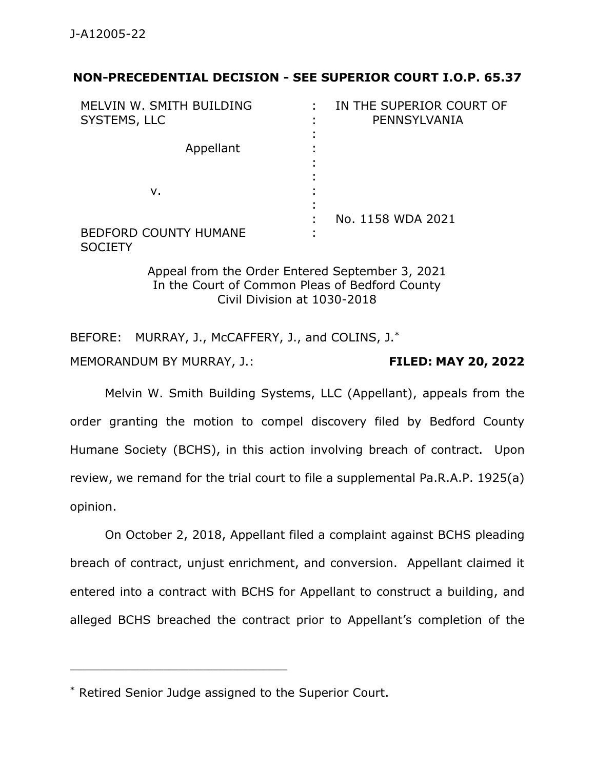#### **NON-PRECEDENTIAL DECISION - SEE SUPERIOR COURT I.O.P. 65.37**

| MELVIN W. SMITH BUILDING<br>SYSTEMS, LLC       | IN THE SUPERIOR COURT OF<br>PENNSYLVANIA |
|------------------------------------------------|------------------------------------------|
| Appellant                                      |                                          |
| v.                                             | No. 1158 WDA 2021                        |
| <b>BEDFORD COUNTY HUMANE</b><br><b>SOCIETY</b> |                                          |

Appeal from the Order Entered September 3, 2021 In the Court of Common Pleas of Bedford County Civil Division at 1030-2018

BEFORE: MURRAY, J., McCAFFERY, J., and COLINS, J.\*

MEMORANDUM BY MURRAY, J.: **FILED: MAY 20, 2022**

Melvin W. Smith Building Systems, LLC (Appellant), appeals from the order granting the motion to compel discovery filed by Bedford County Humane Society (BCHS), in this action involving breach of contract. Upon review, we remand for the trial court to file a supplemental Pa.R.A.P. 1925(a) opinion.

On October 2, 2018, Appellant filed a complaint against BCHS pleading breach of contract, unjust enrichment, and conversion. Appellant claimed it entered into a contract with BCHS for Appellant to construct a building, and alleged BCHS breached the contract prior to Appellant's completion of the

\_\_\_\_\_\_\_\_\_\_\_\_\_\_\_\_\_\_\_\_\_\_\_\_\_\_\_\_\_\_\_\_\_\_\_\_\_\_\_\_\_\_\_\_

<sup>\*</sup> Retired Senior Judge assigned to the Superior Court.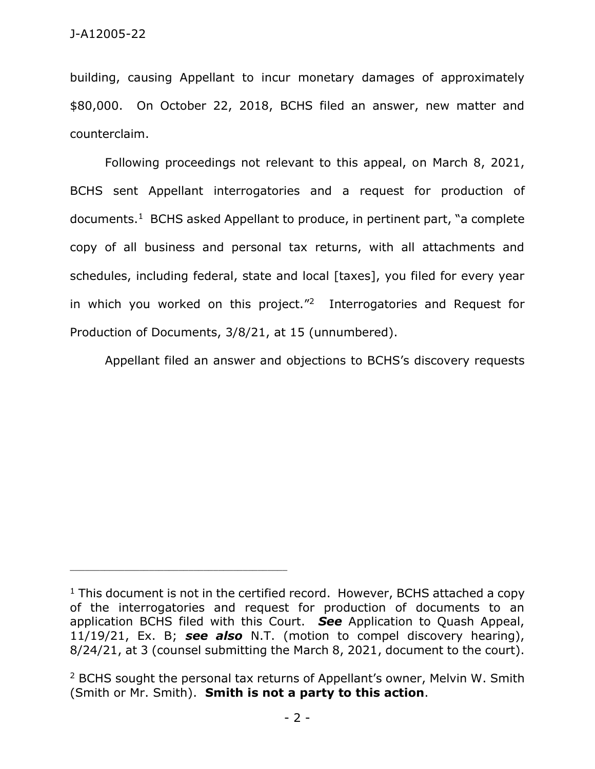building, causing Appellant to incur monetary damages of approximately \$80,000. On October 22, 2018, BCHS filed an answer, new matter and counterclaim.

Following proceedings not relevant to this appeal, on March 8, 2021, BCHS sent Appellant interrogatories and a request for production of documents.<sup>1</sup> BCHS asked Appellant to produce, in pertinent part, "a complete copy of all business and personal tax returns, with all attachments and schedules, including federal, state and local [taxes], you filed for every year in which you worked on this project."<sup>2</sup> Interrogatories and Request for Production of Documents, 3/8/21, at 15 (unnumbered).

Appellant filed an answer and objections to BCHS's discovery requests

 $1$  This document is not in the certified record. However, BCHS attached a copy of the interrogatories and request for production of documents to an application BCHS filed with this Court. *See* Application to Quash Appeal, 11/19/21, Ex. B; *see also* N.T. (motion to compel discovery hearing), 8/24/21, at 3 (counsel submitting the March 8, 2021, document to the court).

<sup>2</sup> BCHS sought the personal tax returns of Appellant's owner, Melvin W. Smith (Smith or Mr. Smith). **Smith is not a party to this action**.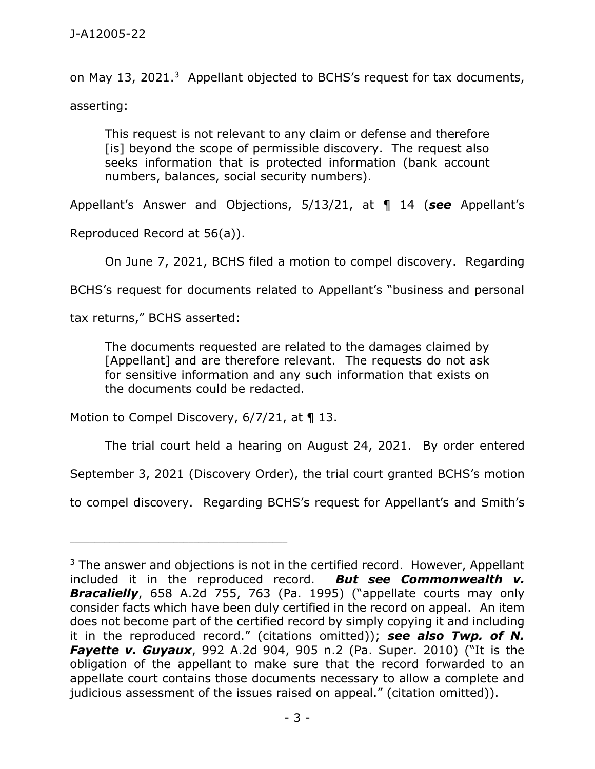on May 13, 2021.<sup>3</sup> Appellant objected to BCHS's request for tax documents, asserting:

This request is not relevant to any claim or defense and therefore [is] beyond the scope of permissible discovery. The request also seeks information that is protected information (bank account numbers, balances, social security numbers).

Appellant's Answer and Objections, 5/13/21, at ¶ 14 (*see* Appellant's

Reproduced Record at 56(a)).

On June 7, 2021, BCHS filed a motion to compel discovery. Regarding

BCHS's request for documents related to Appellant's "business and personal

tax returns," BCHS asserted:

The documents requested are related to the damages claimed by [Appellant] and are therefore relevant. The requests do not ask for sensitive information and any such information that exists on the documents could be redacted.

Motion to Compel Discovery, 6/7/21, at ¶ 13.

\_\_\_\_\_\_\_\_\_\_\_\_\_\_\_\_\_\_\_\_\_\_\_\_\_\_\_\_\_\_\_\_\_\_\_\_\_\_\_\_\_\_\_\_

The trial court held a hearing on August 24, 2021. By order entered

September 3, 2021 (Discovery Order), the trial court granted BCHS's motion

to compel discovery. Regarding BCHS's request for Appellant's and Smith's

 $3$  The answer and objections is not in the certified record. However, Appellant included it in the reproduced record. *But see Commonwealth v. Bracalielly*, 658 A.2d 755, 763 (Pa. 1995) ("appellate courts may only consider facts which have been duly certified in the record on appeal. An item does not become part of the certified record by simply copying it and including it in the reproduced record." (citations omitted)); *see also Twp. of N. Fayette v. Guyaux*, 992 A.2d 904, 905 n.2 (Pa. Super. 2010) ("It is the obligation of the appellant to make sure that the record forwarded to an appellate court contains those documents necessary to allow a complete and judicious assessment of the issues raised on appeal." (citation omitted)).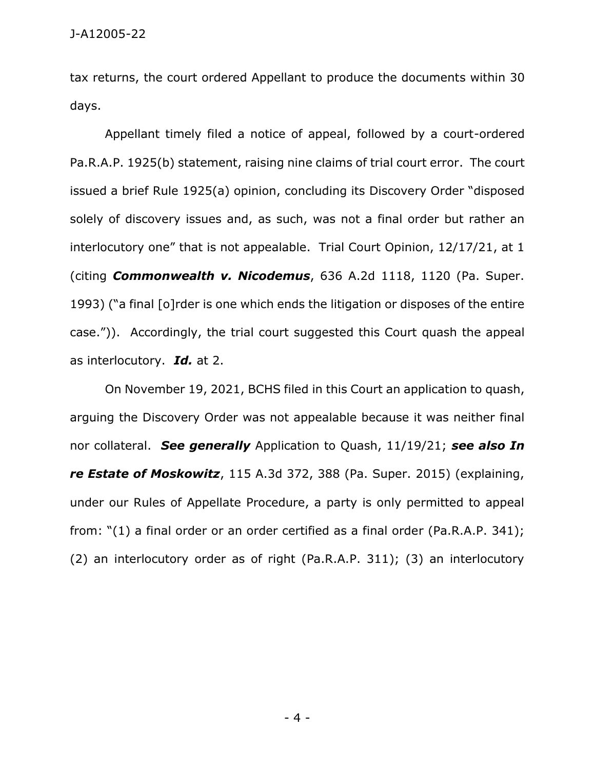tax returns, the court ordered Appellant to produce the documents within 30 days.

Appellant timely filed a notice of appeal, followed by a court-ordered Pa.R.A.P. 1925(b) statement, raising nine claims of trial court error. The court issued a brief Rule 1925(a) opinion, concluding its Discovery Order "disposed solely of discovery issues and, as such, was not a final order but rather an interlocutory one" that is not appealable. Trial Court Opinion, 12/17/21, at 1 (citing *Commonwealth v. Nicodemus*, 636 A.2d 1118, 1120 (Pa. Super. 1993) ("a final [o]rder is one which ends the litigation or disposes of the entire case.")). Accordingly, the trial court suggested this Court quash the appeal as interlocutory. *Id.* at 2.

On November 19, 2021, BCHS filed in this Court an application to quash, arguing the Discovery Order was not appealable because it was neither final nor collateral. *See generally* Application to Quash, 11/19/21; *see also In re Estate of Moskowitz*, 115 A.3d 372, 388 (Pa. Super. 2015) (explaining, under our Rules of Appellate Procedure, a party is only permitted to appeal from: "(1) a final order or an order certified as a final order (Pa.R.A.P. 341); (2) an interlocutory order as of right (Pa.R.A.P. 311); (3) an interlocutory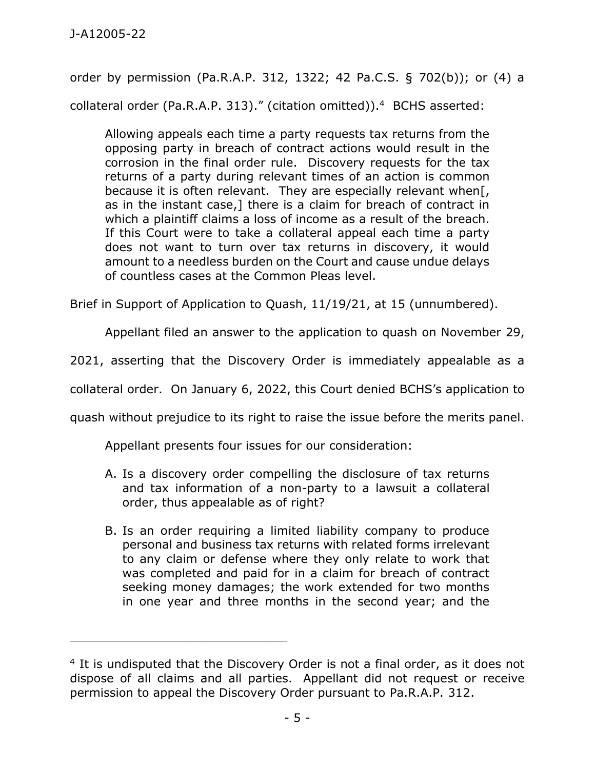order by permission (Pa.R.A.P. 312, 1322; 42 Pa.C.S. § 702(b)); or (4) a collateral order (Pa.R.A.P. 313)." (citation omitted)). <sup>4</sup> BCHS asserted:

Allowing appeals each time a party requests tax returns from the opposing party in breach of contract actions would result in the corrosion in the final order rule. Discovery requests for the tax returns of a party during relevant times of an action is common because it is often relevant. They are especially relevant when[, as in the instant case,] there is a claim for breach of contract in which a plaintiff claims a loss of income as a result of the breach. If this Court were to take a collateral appeal each time a party does not want to turn over tax returns in discovery, it would amount to a needless burden on the Court and cause undue delays of countless cases at the Common Pleas level.

Brief in Support of Application to Quash, 11/19/21, at 15 (unnumbered).

Appellant filed an answer to the application to quash on November 29,

2021, asserting that the Discovery Order is immediately appealable as a

collateral order. On January 6, 2022, this Court denied BCHS's application to

quash without prejudice to its right to raise the issue before the merits panel.

Appellant presents four issues for our consideration:

\_\_\_\_\_\_\_\_\_\_\_\_\_\_\_\_\_\_\_\_\_\_\_\_\_\_\_\_\_\_\_\_\_\_\_\_\_\_\_\_\_\_\_\_

- A. Is a discovery order compelling the disclosure of tax returns and tax information of a non-party to a lawsuit a collateral order, thus appealable as of right?
- B. Is an order requiring a limited liability company to produce personal and business tax returns with related forms irrelevant to any claim or defense where they only relate to work that was completed and paid for in a claim for breach of contract seeking money damages; the work extended for two months in one year and three months in the second year; and the

<sup>&</sup>lt;sup>4</sup> It is undisputed that the Discovery Order is not a final order, as it does not dispose of all claims and all parties. Appellant did not request or receive permission to appeal the Discovery Order pursuant to Pa.R.A.P. 312.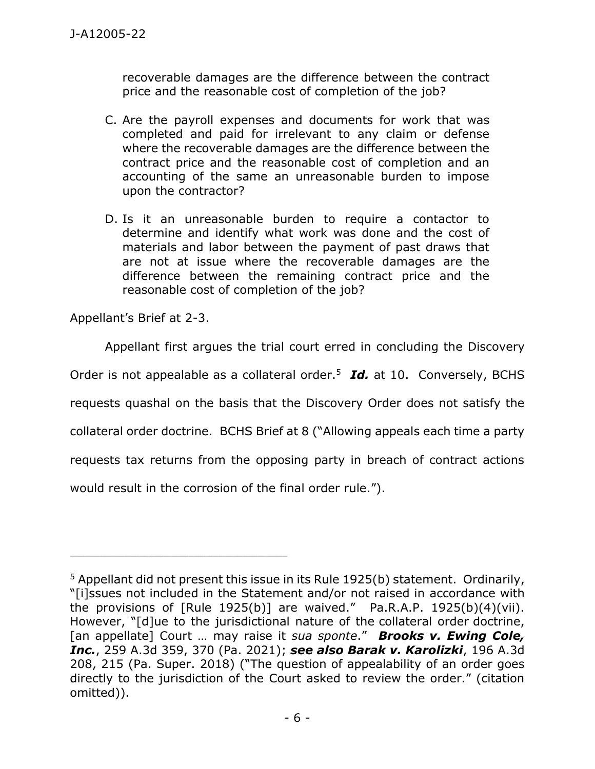recoverable damages are the difference between the contract price and the reasonable cost of completion of the job?

- C. Are the payroll expenses and documents for work that was completed and paid for irrelevant to any claim or defense where the recoverable damages are the difference between the contract price and the reasonable cost of completion and an accounting of the same an unreasonable burden to impose upon the contractor?
- D. Is it an unreasonable burden to require a contactor to determine and identify what work was done and the cost of materials and labor between the payment of past draws that are not at issue where the recoverable damages are the difference between the remaining contract price and the reasonable cost of completion of the job?

Appellant's Brief at 2-3.

Appellant first argues the trial court erred in concluding the Discovery

Order is not appealable as a collateral order.<sup>5</sup> **Id.** at 10. Conversely, BCHS

requests quashal on the basis that the Discovery Order does not satisfy the

collateral order doctrine. BCHS Brief at 8 ("Allowing appeals each time a party

requests tax returns from the opposing party in breach of contract actions

would result in the corrosion of the final order rule.").

\_\_\_\_\_\_\_\_\_\_\_\_\_\_\_\_\_\_\_\_\_\_\_\_\_\_\_\_\_\_\_\_\_\_\_\_\_\_\_\_\_\_\_\_

<sup>&</sup>lt;sup>5</sup> Appellant did not present this issue in its Rule 1925(b) statement. Ordinarily, "[i]ssues not included in the Statement and/or not raised in accordance with the provisions of  $[Rule 1925(b)]$  are waived." Pa.R.A.P. 1925(b)(4)(vii). However, "[d]ue to the jurisdictional nature of the collateral order doctrine, [an appellate] Court … may raise it *sua sponte*." *Brooks v. Ewing Cole, Inc.*, 259 A.3d 359, 370 (Pa. 2021); *see also Barak v. Karolizki*, 196 A.3d 208, 215 (Pa. Super. 2018) ("The question of appealability of an order goes directly to the jurisdiction of the Court asked to review the order." (citation omitted)).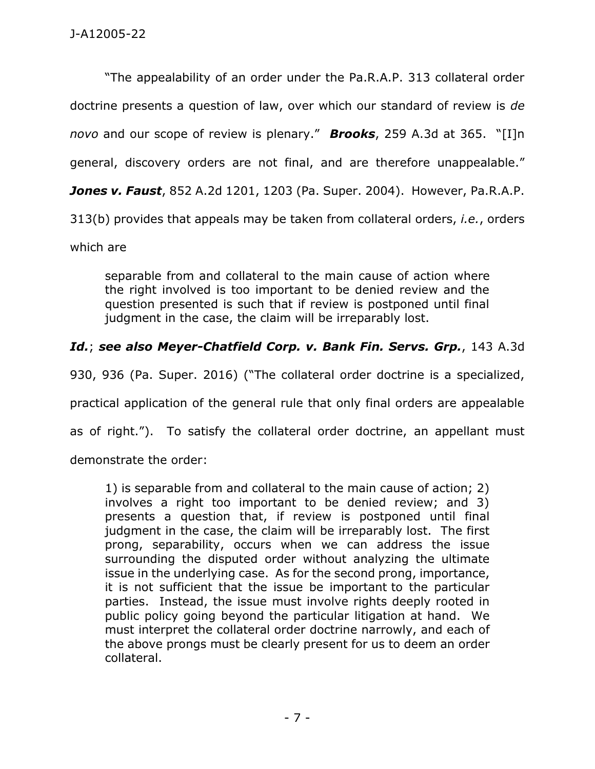"The appealability of an order under the Pa.R.A.P. 313 collateral order doctrine presents a question of law, over which our standard of review is *de novo* and our scope of review is plenary." *Brooks*, 259 A.3d at 365. "[I]n general, discovery orders are not final, and are therefore unappealable." *Jones v. Faust*, 852 A.2d 1201, 1203 (Pa. Super. 2004). However, Pa.R.A.P. 313(b) provides that appeals may be taken from collateral orders, *i.e.*, orders which are

separable from and collateral to the main cause of action where the right involved is too important to be denied review and the question presented is such that if review is postponed until final judgment in the case, the claim will be irreparably lost.

# *Id.*; *see also Meyer-Chatfield Corp. v. Bank Fin. Servs. Grp.*, 143 A.3d

930, 936 (Pa. Super. 2016) ("The collateral order doctrine is a specialized,

practical application of the general rule that only final orders are appealable

as of right."). To satisfy the collateral order doctrine, an appellant must

demonstrate the order:

1) is separable from and collateral to the main cause of action; 2) involves a right too important to be denied review; and 3) presents a question that, if review is postponed until final judgment in the case, the claim will be irreparably lost. The first prong, separability, occurs when we can address the issue surrounding the disputed order without analyzing the ultimate issue in the underlying case. As for the second prong, importance, it is not sufficient that the issue be important to the particular parties. Instead, the issue must involve rights deeply rooted in public policy going beyond the particular litigation at hand. We must interpret the collateral order doctrine narrowly, and each of the above prongs must be clearly present for us to deem an order collateral.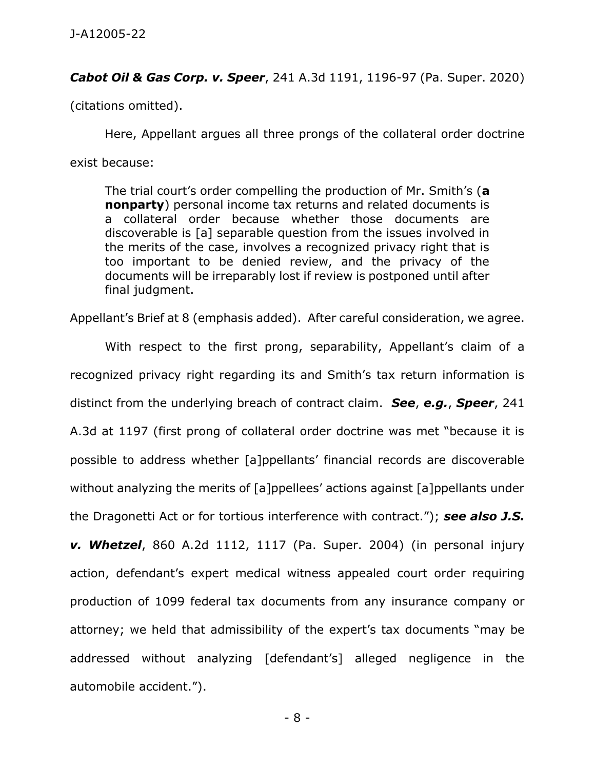#### *Cabot Oil & Gas Corp. v. Speer*, 241 A.3d 1191, 1196-97 (Pa. Super. 2020)

(citations omitted).

Here, Appellant argues all three prongs of the collateral order doctrine exist because:

The trial court's order compelling the production of Mr. Smith's (**a nonparty**) personal income tax returns and related documents is a collateral order because whether those documents are discoverable is [a] separable question from the issues involved in the merits of the case, involves a recognized privacy right that is too important to be denied review, and the privacy of the documents will be irreparably lost if review is postponed until after final judgment.

Appellant's Brief at 8 (emphasis added). After careful consideration, we agree.

With respect to the first prong, separability, Appellant's claim of a recognized privacy right regarding its and Smith's tax return information is distinct from the underlying breach of contract claim. *See*, *e.g.*, *Speer*, 241 A.3d at 1197 (first prong of collateral order doctrine was met "because it is possible to address whether [a]ppellants' financial records are discoverable without analyzing the merits of [a]ppellees' actions against [a]ppellants under the Dragonetti Act or for tortious interference with contract."); *see also J.S. v. Whetzel*, 860 A.2d 1112, 1117 (Pa. Super. 2004) (in personal injury action, defendant's expert medical witness appealed court order requiring production of 1099 federal tax documents from any insurance company or attorney; we held that admissibility of the expert's tax documents "may be addressed without analyzing [defendant's] alleged negligence in the automobile accident.").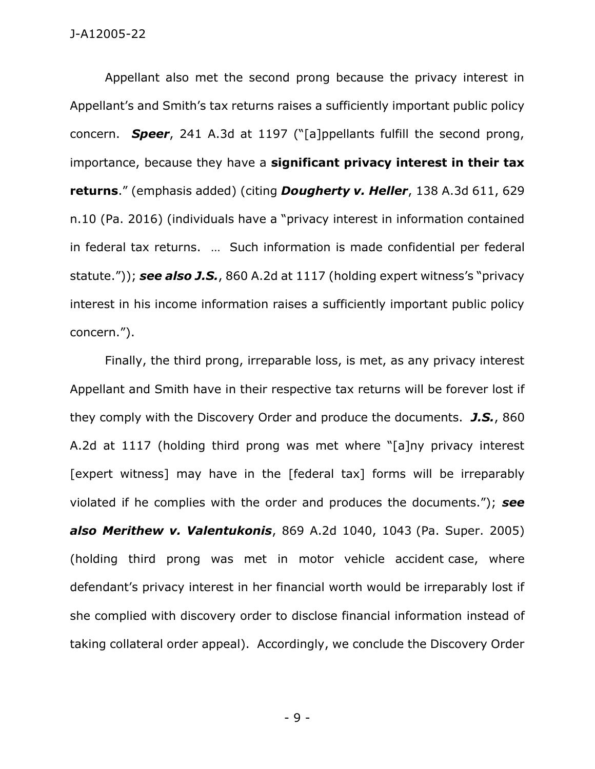Appellant also met the second prong because the privacy interest in Appellant's and Smith's tax returns raises a sufficiently important public policy concern. *Speer*, 241 A.3d at 1197 ("[a]ppellants fulfill the second prong, importance, because they have a **significant privacy interest in their tax returns**." (emphasis added) (citing *Dougherty v. Heller*, 138 A.3d 611, 629 n.10 (Pa. 2016) (individuals have a "privacy interest in information contained in federal tax returns. … Such information is made confidential per federal statute.")); *see also J.S.*, 860 A.2d at 1117 (holding expert witness's "privacy interest in his income information raises a sufficiently important public policy concern.").

Finally, the third prong, irreparable loss, is met, as any privacy interest Appellant and Smith have in their respective tax returns will be forever lost if they comply with the Discovery Order and produce the documents. *J.S.*, 860 A.2d at 1117 (holding third prong was met where "[a]ny privacy interest [expert witness] may have in the [federal tax] forms will be irreparably violated if he complies with the order and produces the documents."); *see also Merithew v. Valentukonis*, 869 A.2d 1040, 1043 (Pa. Super. 2005) (holding third prong was met in motor vehicle accident case, where defendant's privacy interest in her financial worth would be irreparably lost if she complied with discovery order to disclose financial information instead of taking collateral order appeal). Accordingly, we conclude the Discovery Order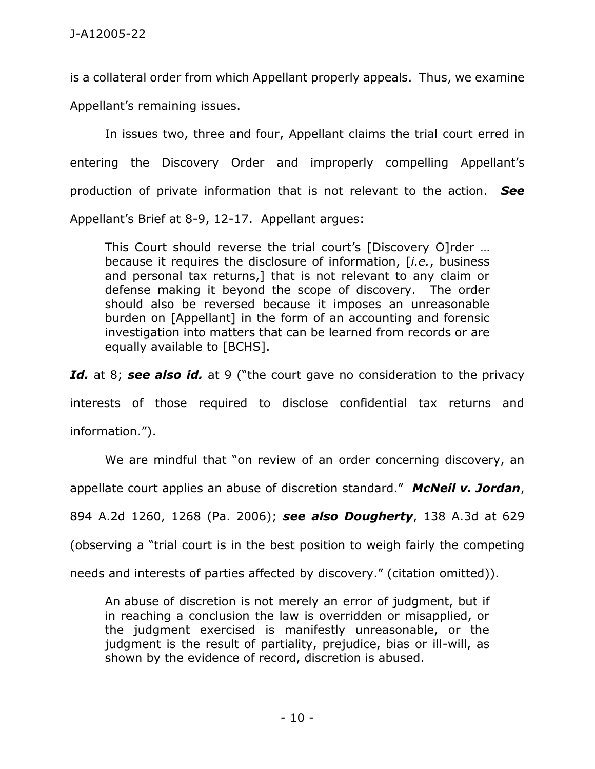is a collateral order from which Appellant properly appeals. Thus, we examine Appellant's remaining issues.

In issues two, three and four, Appellant claims the trial court erred in entering the Discovery Order and improperly compelling Appellant's production of private information that is not relevant to the action. *See* Appellant's Brief at 8-9, 12-17. Appellant argues:

This Court should reverse the trial court's [Discovery O]rder … because it requires the disclosure of information, [*i.e.*, business and personal tax returns,] that is not relevant to any claim or defense making it beyond the scope of discovery. The order should also be reversed because it imposes an unreasonable burden on [Appellant] in the form of an accounting and forensic investigation into matters that can be learned from records or are equally available to [BCHS].

**Id.** at 8; see also id. at 9 ("the court gave no consideration to the privacy interests of those required to disclose confidential tax returns and information.").

We are mindful that "on review of an order concerning discovery, an

appellate court applies an abuse of discretion standard." *McNeil v. Jordan*,

894 A.2d 1260, 1268 (Pa. 2006); *see also Dougherty*, 138 A.3d at 629

(observing a "trial court is in the best position to weigh fairly the competing

needs and interests of parties affected by discovery." (citation omitted)).

An abuse of discretion is not merely an error of judgment, but if in reaching a conclusion the law is overridden or misapplied, or the judgment exercised is manifestly unreasonable, or the judgment is the result of partiality, prejudice, bias or ill-will, as shown by the evidence of record, discretion is abused.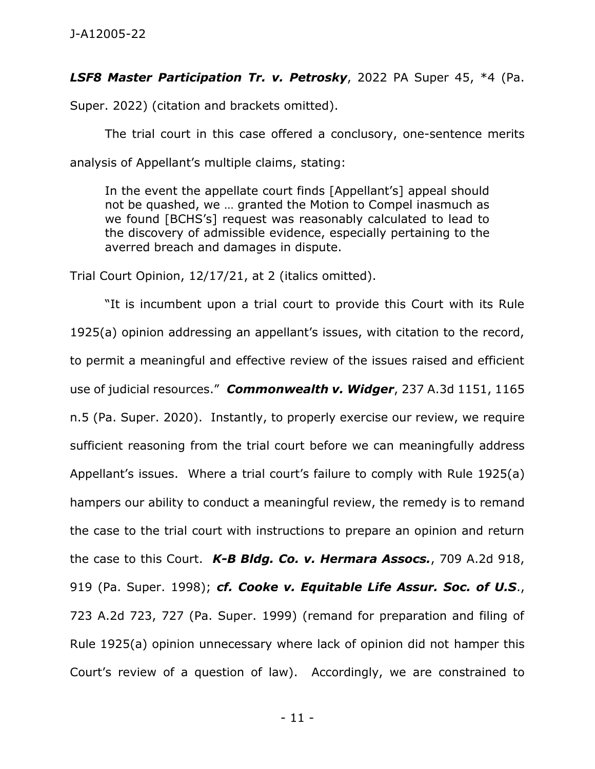### *LSF8 Master Participation Tr. v. Petrosky*, 2022 PA Super 45, \*4 (Pa.

Super. 2022) (citation and brackets omitted).

The trial court in this case offered a conclusory, one-sentence merits analysis of Appellant's multiple claims, stating:

In the event the appellate court finds [Appellant's] appeal should not be quashed, we … granted the Motion to Compel inasmuch as we found [BCHS's] request was reasonably calculated to lead to the discovery of admissible evidence, especially pertaining to the averred breach and damages in dispute.

Trial Court Opinion, 12/17/21, at 2 (italics omitted).

"It is incumbent upon a trial court to provide this Court with its Rule 1925(a) opinion addressing an appellant's issues, with citation to the record, to permit a meaningful and effective review of the issues raised and efficient use of judicial resources." *Commonwealth v. Widger*, 237 A.3d 1151, 1165 n.5 (Pa. Super. 2020). Instantly, to properly exercise our review, we require sufficient reasoning from the trial court before we can meaningfully address Appellant's issues. Where a trial court's failure to comply with Rule 1925(a) hampers our ability to conduct a meaningful review, the remedy is to remand the case to the trial court with instructions to prepare an opinion and return the case to this Court. *K-B Bldg. Co. v. Hermara Assocs.*, 709 A.2d 918, 919 (Pa. Super. 1998); *cf. Cooke v. Equitable Life Assur. Soc. of U.S*., 723 A.2d 723, 727 (Pa. Super. 1999) (remand for preparation and filing of Rule 1925(a) opinion unnecessary where lack of opinion did not hamper this Court's review of a question of law). Accordingly, we are constrained to